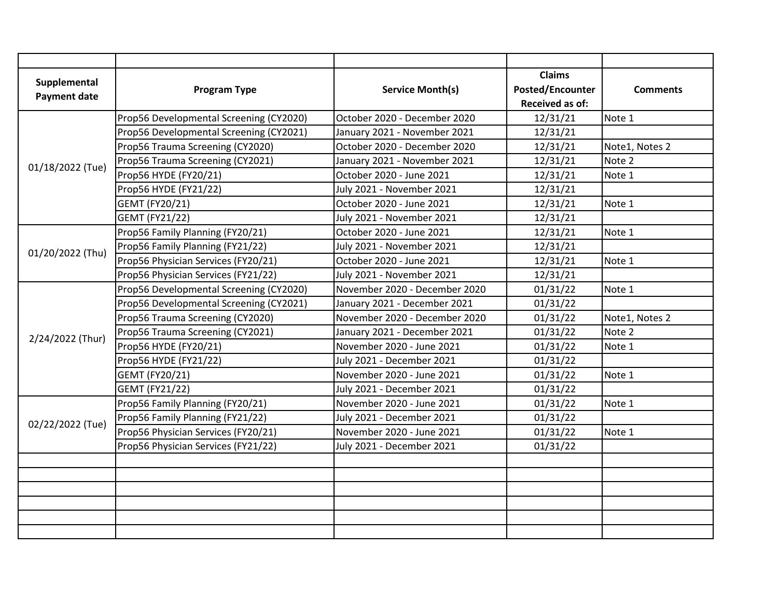| Supplemental        |                                         |                               | <b>Claims</b>           |                 |
|---------------------|-----------------------------------------|-------------------------------|-------------------------|-----------------|
| <b>Payment date</b> | <b>Program Type</b>                     | <b>Service Month(s)</b>       | <b>Posted/Encounter</b> | <b>Comments</b> |
|                     |                                         |                               | <b>Received as of:</b>  |                 |
|                     | Prop56 Developmental Screening (CY2020) | October 2020 - December 2020  | 12/31/21                | Note 1          |
|                     | Prop56 Developmental Screening (CY2021) | January 2021 - November 2021  | 12/31/21                |                 |
|                     | Prop56 Trauma Screening (CY2020)        | October 2020 - December 2020  | 12/31/21                | Note1, Notes 2  |
| 01/18/2022 (Tue)    | Prop56 Trauma Screening (CY2021)        | January 2021 - November 2021  | 12/31/21                | Note 2          |
|                     | Prop56 HYDE (FY20/21)                   | October 2020 - June 2021      | 12/31/21                | Note 1          |
|                     | Prop56 HYDE (FY21/22)                   | July 2021 - November 2021     | 12/31/21                |                 |
|                     | GEMT (FY20/21)                          | October 2020 - June 2021      | 12/31/21                | Note 1          |
|                     | <b>GEMT (FY21/22)</b>                   | July 2021 - November 2021     | 12/31/21                |                 |
|                     | Prop56 Family Planning (FY20/21)        | October 2020 - June 2021      | 12/31/21                | Note 1          |
| 01/20/2022 (Thu)    | Prop56 Family Planning (FY21/22)        | July 2021 - November 2021     | 12/31/21                |                 |
|                     | Prop56 Physician Services (FY20/21)     | October 2020 - June 2021      | 12/31/21                | Note 1          |
|                     | Prop56 Physician Services (FY21/22)     | July 2021 - November 2021     | 12/31/21                |                 |
|                     | Prop56 Developmental Screening (CY2020) | November 2020 - December 2020 | 01/31/22                | Note 1          |
|                     | Prop56 Developmental Screening (CY2021) | January 2021 - December 2021  | 01/31/22                |                 |
|                     | Prop56 Trauma Screening (CY2020)        | November 2020 - December 2020 | 01/31/22                | Note1, Notes 2  |
| 2/24/2022 (Thur)    | Prop56 Trauma Screening (CY2021)        | January 2021 - December 2021  | 01/31/22                | Note 2          |
|                     | Prop56 HYDE (FY20/21)                   | November 2020 - June 2021     | 01/31/22                | Note 1          |
|                     | Prop56 HYDE (FY21/22)                   | July 2021 - December 2021     | 01/31/22                |                 |
|                     | GEMT (FY20/21)                          | November 2020 - June 2021     | 01/31/22                | Note 1          |
|                     | GEMT (FY21/22)                          | July 2021 - December 2021     | 01/31/22                |                 |
| 02/22/2022 (Tue)    | Prop56 Family Planning (FY20/21)        | November 2020 - June 2021     | 01/31/22                | Note 1          |
|                     | Prop56 Family Planning (FY21/22)        | July 2021 - December 2021     | 01/31/22                |                 |
|                     | Prop56 Physician Services (FY20/21)     | November 2020 - June 2021     | 01/31/22                | Note 1          |
|                     | Prop56 Physician Services (FY21/22)     | July 2021 - December 2021     | 01/31/22                |                 |
|                     |                                         |                               |                         |                 |
|                     |                                         |                               |                         |                 |
|                     |                                         |                               |                         |                 |
|                     |                                         |                               |                         |                 |
|                     |                                         |                               |                         |                 |
|                     |                                         |                               |                         |                 |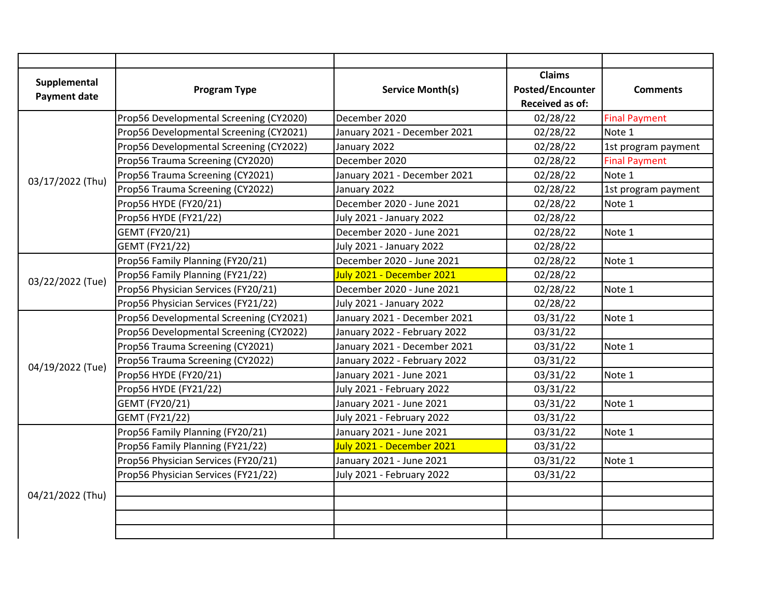| Supplemental        |                                         |                                 | <b>Claims</b>           |                      |
|---------------------|-----------------------------------------|---------------------------------|-------------------------|----------------------|
| <b>Payment date</b> | <b>Program Type</b>                     | <b>Service Month(s)</b>         | <b>Posted/Encounter</b> | <b>Comments</b>      |
|                     |                                         |                                 | <b>Received as of:</b>  |                      |
|                     | Prop56 Developmental Screening (CY2020) | December 2020                   | 02/28/22                | <b>Final Payment</b> |
|                     | Prop56 Developmental Screening (CY2021) | January 2021 - December 2021    | 02/28/22                | Note 1               |
|                     | Prop56 Developmental Screening (CY2022) | January 2022                    | 02/28/22                | 1st program payment  |
|                     | Prop56 Trauma Screening (CY2020)        | December 2020                   | 02/28/22                | <b>Final Payment</b> |
| 03/17/2022 (Thu)    | Prop56 Trauma Screening (CY2021)        | January 2021 - December 2021    | 02/28/22                | Note 1               |
|                     | Prop56 Trauma Screening (CY2022)        | January 2022                    | 02/28/22                | 1st program payment  |
|                     | Prop56 HYDE (FY20/21)                   | December 2020 - June 2021       | 02/28/22                | Note 1               |
|                     | Prop56 HYDE (FY21/22)                   | July 2021 - January 2022        | 02/28/22                |                      |
|                     | GEMT (FY20/21)                          | December 2020 - June 2021       | 02/28/22                | Note 1               |
|                     | <b>GEMT (FY21/22)</b>                   | July 2021 - January 2022        | 02/28/22                |                      |
|                     | Prop56 Family Planning (FY20/21)        | December 2020 - June 2021       | 02/28/22                | Note 1               |
| 03/22/2022 (Tue)    | Prop56 Family Planning (FY21/22)        | July 2021 - December 2021       | 02/28/22                |                      |
|                     | Prop56 Physician Services (FY20/21)     | December 2020 - June 2021       | 02/28/22                | Note 1               |
|                     | Prop56 Physician Services (FY21/22)     | <b>July 2021 - January 2022</b> | 02/28/22                |                      |
|                     | Prop56 Developmental Screening (CY2021) | January 2021 - December 2021    | 03/31/22                | Note 1               |
|                     | Prop56 Developmental Screening (CY2022) | January 2022 - February 2022    | 03/31/22                |                      |
|                     | Prop56 Trauma Screening (CY2021)        | January 2021 - December 2021    | 03/31/22                | Note 1               |
|                     | Prop56 Trauma Screening (CY2022)        | January 2022 - February 2022    | 03/31/22                |                      |
| 04/19/2022 (Tue)    | Prop56 HYDE (FY20/21)                   | January 2021 - June 2021        | 03/31/22                | Note 1               |
|                     | Prop56 HYDE (FY21/22)                   | July 2021 - February 2022       | 03/31/22                |                      |
|                     | GEMT (FY20/21)                          | January 2021 - June 2021        | 03/31/22                | Note 1               |
|                     | <b>GEMT (FY21/22)</b>                   | July 2021 - February 2022       | 03/31/22                |                      |
| 04/21/2022 (Thu)    | Prop56 Family Planning (FY20/21)        | January 2021 - June 2021        | 03/31/22                | Note 1               |
|                     | Prop56 Family Planning (FY21/22)        | July 2021 - December 2021       | 03/31/22                |                      |
|                     | Prop56 Physician Services (FY20/21)     | January 2021 - June 2021        | 03/31/22                | Note 1               |
|                     | Prop56 Physician Services (FY21/22)     | July 2021 - February 2022       | 03/31/22                |                      |
|                     |                                         |                                 |                         |                      |
|                     |                                         |                                 |                         |                      |
|                     |                                         |                                 |                         |                      |
|                     |                                         |                                 |                         |                      |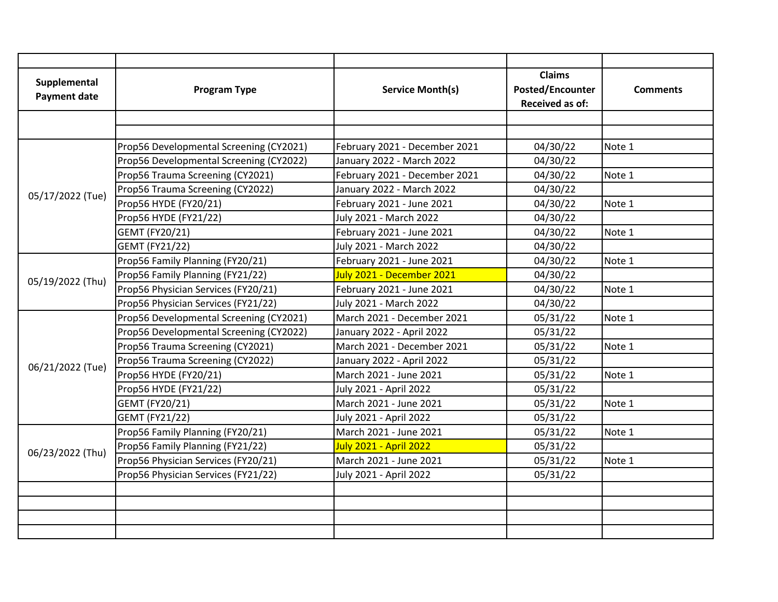| Supplemental        |                                         |                               | <b>Claims</b>           |                 |
|---------------------|-----------------------------------------|-------------------------------|-------------------------|-----------------|
| <b>Payment date</b> | <b>Program Type</b>                     | <b>Service Month(s)</b>       | <b>Posted/Encounter</b> | <b>Comments</b> |
|                     |                                         |                               | <b>Received as of:</b>  |                 |
|                     |                                         |                               |                         |                 |
|                     |                                         |                               |                         |                 |
|                     | Prop56 Developmental Screening (CY2021) | February 2021 - December 2021 | 04/30/22                | Note 1          |
|                     | Prop56 Developmental Screening (CY2022) | January 2022 - March 2022     | 04/30/22                |                 |
|                     | Prop56 Trauma Screening (CY2021)        | February 2021 - December 2021 | 04/30/22                | Note 1          |
| 05/17/2022 (Tue)    | Prop56 Trauma Screening (CY2022)        | January 2022 - March 2022     | 04/30/22                |                 |
|                     | Prop56 HYDE (FY20/21)                   | February 2021 - June 2021     | 04/30/22                | Note 1          |
|                     | Prop56 HYDE (FY21/22)                   | July 2021 - March 2022        | 04/30/22                |                 |
|                     | GEMT (FY20/21)                          | February 2021 - June 2021     | 04/30/22                | Note 1          |
|                     | GEMT (FY21/22)                          | July 2021 - March 2022        | 04/30/22                |                 |
|                     | Prop56 Family Planning (FY20/21)        | February 2021 - June 2021     | 04/30/22                | Note 1          |
| 05/19/2022 (Thu)    | Prop56 Family Planning (FY21/22)        | July 2021 - December 2021     | 04/30/22                |                 |
|                     | Prop56 Physician Services (FY20/21)     | February 2021 - June 2021     | 04/30/22                | Note 1          |
|                     | Prop56 Physician Services (FY21/22)     | July 2021 - March 2022        | 04/30/22                |                 |
|                     | Prop56 Developmental Screening (CY2021) | March 2021 - December 2021    | 05/31/22                | Note 1          |
|                     | Prop56 Developmental Screening (CY2022) | January 2022 - April 2022     | 05/31/22                |                 |
|                     | Prop56 Trauma Screening (CY2021)        | March 2021 - December 2021    | 05/31/22                | Note 1          |
|                     | Prop56 Trauma Screening (CY2022)        | January 2022 - April 2022     | 05/31/22                |                 |
| 06/21/2022 (Tue)    | Prop56 HYDE (FY20/21)                   | March 2021 - June 2021        | 05/31/22                | Note 1          |
|                     | Prop56 HYDE (FY21/22)                   | July 2021 - April 2022        | 05/31/22                |                 |
|                     | GEMT (FY20/21)                          | March 2021 - June 2021        | 05/31/22                | Note 1          |
|                     | GEMT (FY21/22)                          | July 2021 - April 2022        | 05/31/22                |                 |
| 06/23/2022 (Thu)    | Prop56 Family Planning (FY20/21)        | March 2021 - June 2021        | 05/31/22                | Note 1          |
|                     | Prop56 Family Planning (FY21/22)        | July 2021 - April 2022        | 05/31/22                |                 |
|                     | Prop56 Physician Services (FY20/21)     | March 2021 - June 2021        | 05/31/22                | Note 1          |
|                     | Prop56 Physician Services (FY21/22)     | July 2021 - April 2022        | 05/31/22                |                 |
|                     |                                         |                               |                         |                 |
|                     |                                         |                               |                         |                 |
|                     |                                         |                               |                         |                 |
|                     |                                         |                               |                         |                 |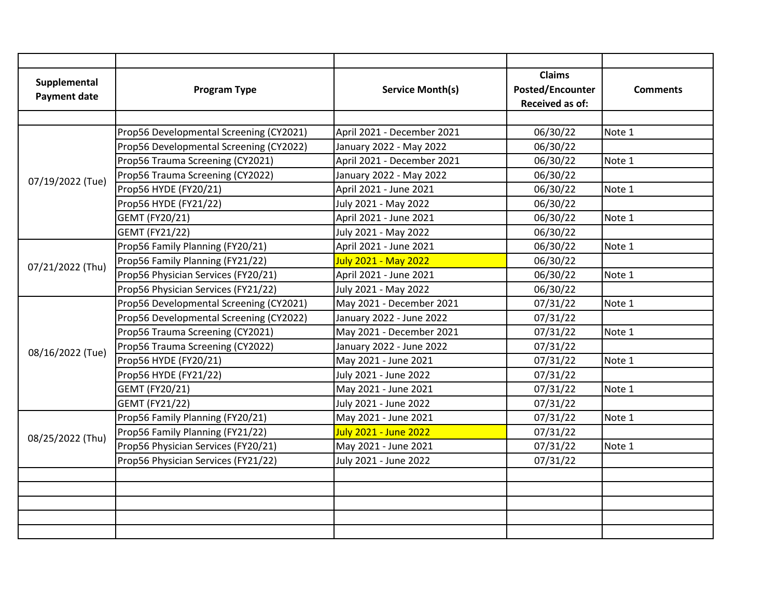| Supplemental        |                                         |                              | <b>Claims</b>           |                 |
|---------------------|-----------------------------------------|------------------------------|-------------------------|-----------------|
| <b>Payment date</b> | <b>Program Type</b>                     | <b>Service Month(s)</b>      | <b>Posted/Encounter</b> | <b>Comments</b> |
|                     |                                         |                              | <b>Received as of:</b>  |                 |
|                     |                                         |                              |                         |                 |
|                     | Prop56 Developmental Screening (CY2021) | April 2021 - December 2021   | 06/30/22                | Note 1          |
|                     | Prop56 Developmental Screening (CY2022) | January 2022 - May 2022      | 06/30/22                |                 |
|                     | Prop56 Trauma Screening (CY2021)        | April 2021 - December 2021   | 06/30/22                | Note 1          |
| 07/19/2022 (Tue)    | Prop56 Trauma Screening (CY2022)        | January 2022 - May 2022      | 06/30/22                |                 |
|                     | Prop56 HYDE (FY20/21)                   | April 2021 - June 2021       | 06/30/22                | Note 1          |
|                     | Prop56 HYDE (FY21/22)                   | July 2021 - May 2022         | 06/30/22                |                 |
|                     | GEMT (FY20/21)                          | April 2021 - June 2021       | 06/30/22                | Note 1          |
|                     | <b>GEMT (FY21/22)</b>                   | July 2021 - May 2022         | 06/30/22                |                 |
|                     | Prop56 Family Planning (FY20/21)        | April 2021 - June 2021       | 06/30/22                | Note 1          |
| 07/21/2022 (Thu)    | Prop56 Family Planning (FY21/22)        | <b>July 2021 - May 2022</b>  | 06/30/22                |                 |
|                     | Prop56 Physician Services (FY20/21)     | April 2021 - June 2021       | 06/30/22                | Note 1          |
|                     | Prop56 Physician Services (FY21/22)     | July 2021 - May 2022         | 06/30/22                |                 |
|                     | Prop56 Developmental Screening (CY2021) | May 2021 - December 2021     | 07/31/22                | Note 1          |
|                     | Prop56 Developmental Screening (CY2022) | January 2022 - June 2022     | 07/31/22                |                 |
|                     | Prop56 Trauma Screening (CY2021)        | May 2021 - December 2021     | 07/31/22                | Note 1          |
|                     | Prop56 Trauma Screening (CY2022)        | January 2022 - June 2022     | 07/31/22                |                 |
| 08/16/2022 (Tue)    | Prop56 HYDE (FY20/21)                   | May 2021 - June 2021         | 07/31/22                | Note 1          |
|                     | Prop56 HYDE (FY21/22)                   | July 2021 - June 2022        | 07/31/22                |                 |
|                     | GEMT (FY20/21)                          | May 2021 - June 2021         | 07/31/22                | Note 1          |
|                     | GEMT (FY21/22)                          | July 2021 - June 2022        | 07/31/22                |                 |
| 08/25/2022 (Thu)    | Prop56 Family Planning (FY20/21)        | May 2021 - June 2021         | 07/31/22                | Note 1          |
|                     | Prop56 Family Planning (FY21/22)        | <b>July 2021 - June 2022</b> | 07/31/22                |                 |
|                     | Prop56 Physician Services (FY20/21)     | May 2021 - June 2021         | 07/31/22                | Note 1          |
|                     | Prop56 Physician Services (FY21/22)     | July 2021 - June 2022        | 07/31/22                |                 |
|                     |                                         |                              |                         |                 |
|                     |                                         |                              |                         |                 |
|                     |                                         |                              |                         |                 |
|                     |                                         |                              |                         |                 |
|                     |                                         |                              |                         |                 |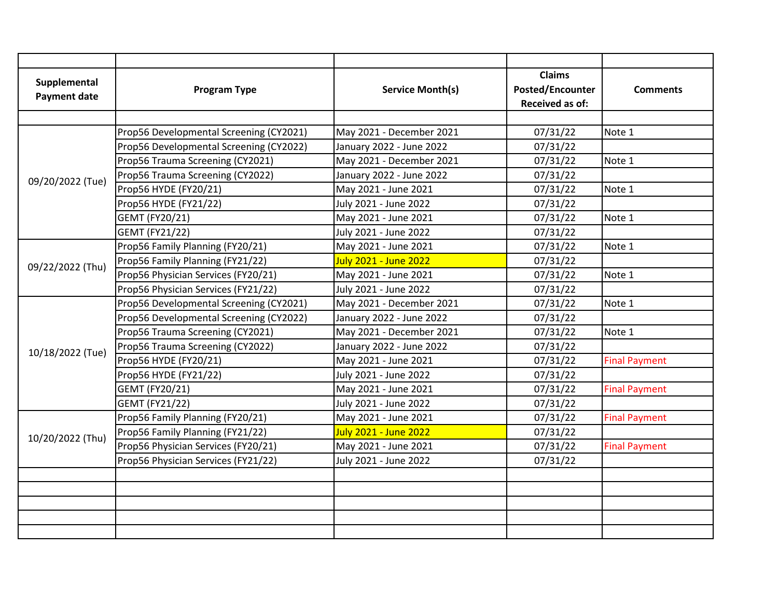| Supplemental        |                                         |                              | <b>Claims</b>           |                      |
|---------------------|-----------------------------------------|------------------------------|-------------------------|----------------------|
| <b>Payment date</b> | <b>Program Type</b>                     | <b>Service Month(s)</b>      | <b>Posted/Encounter</b> | <b>Comments</b>      |
|                     |                                         |                              | <b>Received as of:</b>  |                      |
|                     |                                         |                              |                         |                      |
|                     | Prop56 Developmental Screening (CY2021) | May 2021 - December 2021     | 07/31/22                | Note 1               |
|                     | Prop56 Developmental Screening (CY2022) | January 2022 - June 2022     | 07/31/22                |                      |
|                     | Prop56 Trauma Screening (CY2021)        | May 2021 - December 2021     | 07/31/22                | Note 1               |
| 09/20/2022 (Tue)    | Prop56 Trauma Screening (CY2022)        | January 2022 - June 2022     | 07/31/22                |                      |
|                     | Prop56 HYDE (FY20/21)                   | May 2021 - June 2021         | 07/31/22                | Note 1               |
|                     | Prop56 HYDE (FY21/22)                   | July 2021 - June 2022        | 07/31/22                |                      |
|                     | GEMT (FY20/21)                          | May 2021 - June 2021         | 07/31/22                | Note 1               |
|                     | <b>GEMT (FY21/22)</b>                   | July 2021 - June 2022        | 07/31/22                |                      |
|                     | Prop56 Family Planning (FY20/21)        | May 2021 - June 2021         | 07/31/22                | Note 1               |
| 09/22/2022 (Thu)    | Prop56 Family Planning (FY21/22)        | July 2021 - June 2022        | 07/31/22                |                      |
|                     | Prop56 Physician Services (FY20/21)     | May 2021 - June 2021         | 07/31/22                | Note 1               |
|                     | Prop56 Physician Services (FY21/22)     | July 2021 - June 2022        | 07/31/22                |                      |
|                     | Prop56 Developmental Screening (CY2021) | May 2021 - December 2021     | 07/31/22                | Note 1               |
|                     | Prop56 Developmental Screening (CY2022) | January 2022 - June 2022     | 07/31/22                |                      |
|                     | Prop56 Trauma Screening (CY2021)        | May 2021 - December 2021     | 07/31/22                | Note 1               |
|                     | Prop56 Trauma Screening (CY2022)        | January 2022 - June 2022     | 07/31/22                |                      |
| 10/18/2022 (Tue)    | Prop56 HYDE (FY20/21)                   | May 2021 - June 2021         | 07/31/22                | <b>Final Payment</b> |
|                     | Prop56 HYDE (FY21/22)                   | July 2021 - June 2022        | 07/31/22                |                      |
|                     | GEMT (FY20/21)                          | May 2021 - June 2021         | 07/31/22                | <b>Final Payment</b> |
|                     | <b>GEMT (FY21/22)</b>                   | July 2021 - June 2022        | 07/31/22                |                      |
| 10/20/2022 (Thu)    | Prop56 Family Planning (FY20/21)        | May 2021 - June 2021         | 07/31/22                | <b>Final Payment</b> |
|                     | Prop56 Family Planning (FY21/22)        | <b>July 2021 - June 2022</b> | 07/31/22                |                      |
|                     | Prop56 Physician Services (FY20/21)     | May 2021 - June 2021         | 07/31/22                | <b>Final Payment</b> |
|                     | Prop56 Physician Services (FY21/22)     | July 2021 - June 2022        | 07/31/22                |                      |
|                     |                                         |                              |                         |                      |
|                     |                                         |                              |                         |                      |
|                     |                                         |                              |                         |                      |
|                     |                                         |                              |                         |                      |
|                     |                                         |                              |                         |                      |